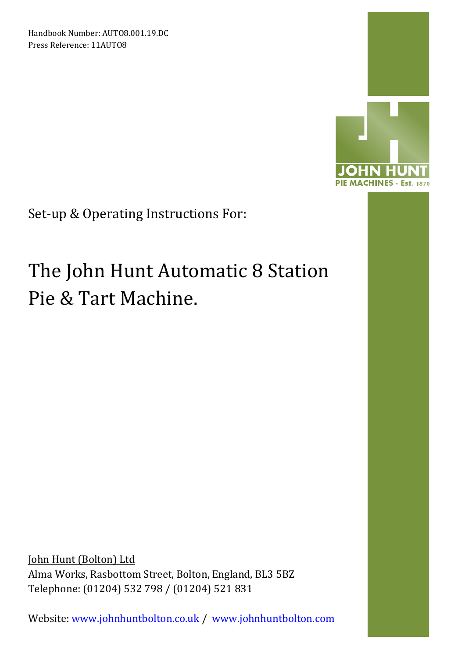Handbook Number: AUTO8.001.19.DC Press Reference: 11AUTO8



Set-up & Operating Instructions For:

# The John Hunt Automatic 8 Station Pie & Tart Machine.

John Hunt (Bolton) Ltd Alma Works, Rasbottom Street, Bolton, England, BL3 5BZ Telephone: (01204) 532 798 / (01204) 521 831

Website: www.johnhuntbolton.co.uk / www.johnhuntbolton.com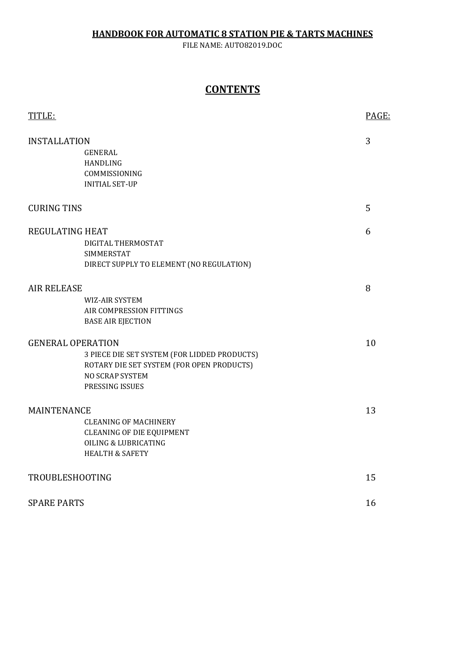#### HANDBOOK FOR AUTOMATIC 8 STATION PIE & TARTS MACHINES

FILE NAME: AUTO82019.DOC

## **CONTENTS**

| TITLE:                   |                                              | PAGE: |
|--------------------------|----------------------------------------------|-------|
| <b>INSTALLATION</b>      |                                              | 3     |
|                          | <b>GENERAL</b>                               |       |
|                          | <b>HANDLING</b>                              |       |
|                          | COMMISSIONING                                |       |
|                          | <b>INITIAL SET-UP</b>                        |       |
| <b>CURING TINS</b>       |                                              | 5     |
| <b>REGULATING HEAT</b>   |                                              | 6     |
|                          | DIGITAL THERMOSTAT                           |       |
|                          | <b>SIMMERSTAT</b>                            |       |
|                          | DIRECT SUPPLY TO ELEMENT (NO REGULATION)     |       |
| <b>AIR RELEASE</b>       |                                              | 8     |
|                          | WIZ-AIR SYSTEM                               |       |
|                          | AIR COMPRESSION FITTINGS                     |       |
|                          | <b>BASE AIR EJECTION</b>                     |       |
| <b>GENERAL OPERATION</b> |                                              | 10    |
|                          | 3 PIECE DIE SET SYSTEM (FOR LIDDED PRODUCTS) |       |
|                          | ROTARY DIE SET SYSTEM (FOR OPEN PRODUCTS)    |       |
|                          | NO SCRAP SYSTEM                              |       |
|                          | PRESSING ISSUES                              |       |
| <b>MAINTENANCE</b>       |                                              | 13    |
|                          | <b>CLEANING OF MACHINERY</b>                 |       |
|                          | <b>CLEANING OF DIE EQUIPMENT</b>             |       |
|                          | <b>OILING &amp; LUBRICATING</b>              |       |
|                          | <b>HEALTH &amp; SAFETY</b>                   |       |
| TROUBLESHOOTING          |                                              | 15    |
| <b>SPARE PARTS</b>       |                                              | 16    |
|                          |                                              |       |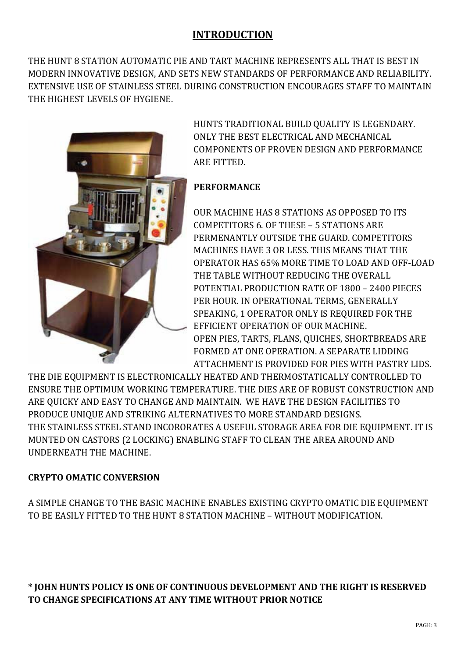# INTRODUCTION

THE HUNT 8 STATION AUTOMATIC PIE AND TART MACHINE REPRESENTS ALL THAT IS BEST IN MODERN INNOVATIVE DESIGN, AND SETS NEW STANDARDS OF PERFORMANCE AND RELIABILITY. EXTENSIVE USE OF STAINLESS STEEL DURING CONSTRUCTION ENCOURAGES STAFF TO MAINTAIN THE HIGHEST LEVELS OF HYGIENE.



HUNTS TRADITIONAL BUILD QUALITY IS LEGENDARY. ONLY THE BEST ELECTRICAL AND MECHANICAL COMPONENTS OF PROVEN DESIGN AND PERFORMANCE ARE FITTED.

## PERFORMANCE

OUR MACHINE HAS 8 STATIONS AS OPPOSED TO ITS COMPETITORS 6. OF THESE – 5 STATIONS ARE PERMENANTLY OUTSIDE THE GUARD. COMPETITORS MACHINES HAVE 3 OR LESS. THIS MEANS THAT THE OPERATOR HAS 65% MORE TIME TO LOAD AND OFF-LOAD THE TABLE WITHOUT REDUCING THE OVERALL POTENTIAL PRODUCTION RATE OF 1800 – 2400 PIECES PER HOUR. IN OPERATIONAL TERMS, GENERALLY SPEAKING, 1 OPERATOR ONLY IS REQUIRED FOR THE EFFICIENT OPERATION OF OUR MACHINE. OPEN PIES, TARTS, FLANS, QUICHES, SHORTBREADS ARE FORMED AT ONE OPERATION. A SEPARATE LIDDING ATTACHMENT IS PROVIDED FOR PIES WITH PASTRY LIDS.

THE DIE EQUIPMENT IS ELECTRONICALLY HEATED AND THERMOSTATICALLY CONTROLLED TO ENSURE THE OPTIMUM WORKING TEMPERATURE. THE DIES ARE OF ROBUST CONSTRUCTION AND ARE QUICKY AND EASY TO CHANGE AND MAINTAIN. WE HAVE THE DESIGN FACILITIES TO PRODUCE UNIQUE AND STRIKING ALTERNATIVES TO MORE STANDARD DESIGNS. THE STAINLESS STEEL STAND INCORORATES A USEFUL STORAGE AREA FOR DIE EQUIPMENT. IT IS MUNTED ON CASTORS (2 LOCKING) ENABLING STAFF TO CLEAN THE AREA AROUND AND UNDERNEATH THE MACHINE.

## CRYPTO OMATIC CONVERSION

A SIMPLE CHANGE TO THE BASIC MACHINE ENABLES EXISTING CRYPTO OMATIC DIE EQUIPMENT TO BE EASILY FITTED TO THE HUNT 8 STATION MACHINE – WITHOUT MODIFICATION.

\* JOHN HUNTS POLICY IS ONE OF CONTINUOUS DEVELOPMENT AND THE RIGHT IS RESERVED TO CHANGE SPECIFICATIONS AT ANY TIME WITHOUT PRIOR NOTICE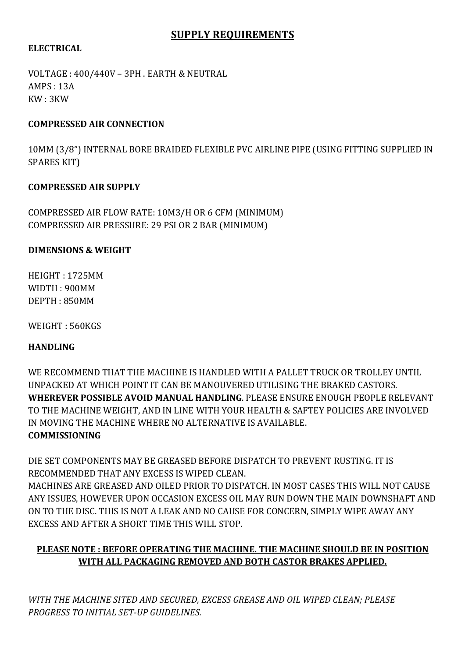## SUPPLY REQUIREMENTS

#### ELECTRICAL

VOLTAGE : 400/440V – 3PH . EARTH & NEUTRAL AMPS : 13A KW : 3KW

#### COMPRESSED AIR CONNECTION

10MM (3/8") INTERNAL BORE BRAIDED FLEXIBLE PVC AIRLINE PIPE (USING FITTING SUPPLIED IN SPARES KIT)

#### COMPRESSED AIR SUPPLY

COMPRESSED AIR FLOW RATE: 10M3/H OR 6 CFM (MINIMUM) COMPRESSED AIR PRESSURE: 29 PSI OR 2 BAR (MINIMUM)

#### DIMENSIONS & WEIGHT

HEIGHT : 1725MM WIDTH : 900MM DEPTH : 850MM

WEIGHT : 560KGS

## HANDLING

WE RECOMMEND THAT THE MACHINE IS HANDLED WITH A PALLET TRUCK OR TROLLEY UNTIL UNPACKED AT WHICH POINT IT CAN BE MANOUVERED UTILISING THE BRAKED CASTORS. WHEREVER POSSIBLE AVOID MANUAL HANDLING. PLEASE ENSURE ENOUGH PEOPLE RELEVANT TO THE MACHINE WEIGHT, AND IN LINE WITH YOUR HEALTH & SAFTEY POLICIES ARE INVOLVED IN MOVING THE MACHINE WHERE NO ALTERNATIVE IS AVAILABLE. **COMMISSIONING** 

DIE SET COMPONENTS MAY BE GREASED BEFORE DISPATCH TO PREVENT RUSTING. IT IS RECOMMENDED THAT ANY EXCESS IS WIPED CLEAN.

MACHINES ARE GREASED AND OILED PRIOR TO DISPATCH. IN MOST CASES THIS WILL NOT CAUSE ANY ISSUES, HOWEVER UPON OCCASION EXCESS OIL MAY RUN DOWN THE MAIN DOWNSHAFT AND ON TO THE DISC. THIS IS NOT A LEAK AND NO CAUSE FOR CONCERN, SIMPLY WIPE AWAY ANY EXCESS AND AFTER A SHORT TIME THIS WILL STOP.

# PLEASE NOTE : BEFORE OPERATING THE MACHINE. THE MACHINE SHOULD BE IN POSITION WITH ALL PACKAGING REMOVED AND BOTH CASTOR BRAKES APPLIED.

WITH THE MACHINE SITED AND SECURED, EXCESS GREASE AND OIL WIPED CLEAN; PLEASE PROGRESS TO INITIAL SET-UP GUIDELINES.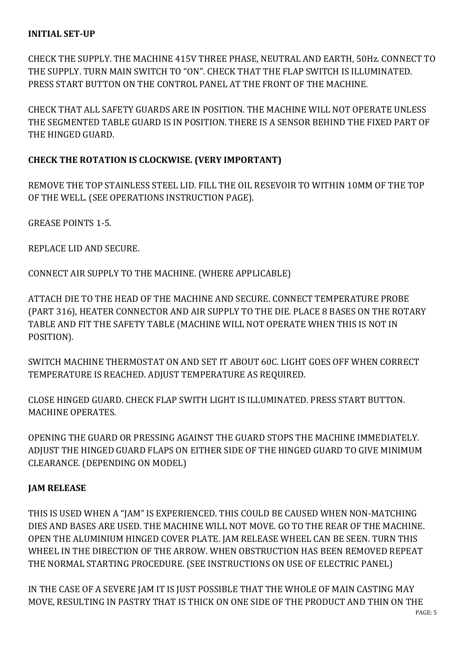#### INITIAL SET-UP

CHECK THE SUPPLY. THE MACHINE 415V THREE PHASE, NEUTRAL AND EARTH, 50Hz. CONNECT TO THE SUPPLY. TURN MAIN SWITCH TO "ON". CHECK THAT THE FLAP SWITCH IS ILLUMINATED. PRESS START BUTTON ON THE CONTROL PANEL AT THE FRONT OF THE MACHINE.

CHECK THAT ALL SAFETY GUARDS ARE IN POSITION. THE MACHINE WILL NOT OPERATE UNLESS THE SEGMENTED TABLE GUARD IS IN POSITION. THERE IS A SENSOR BEHIND THE FIXED PART OF THE HINGED GUARD.

## CHECK THE ROTATION IS CLOCKWISE. (VERY IMPORTANT)

REMOVE THE TOP STAINLESS STEEL LID. FILL THE OIL RESEVOIR TO WITHIN 10MM OF THE TOP OF THE WELL. (SEE OPERATIONS INSTRUCTION PAGE).

GREASE POINTS 1-5.

REPLACE LID AND SECURE.

CONNECT AIR SUPPLY TO THE MACHINE. (WHERE APPLICABLE)

ATTACH DIE TO THE HEAD OF THE MACHINE AND SECURE. CONNECT TEMPERATURE PROBE (PART 316), HEATER CONNECTOR AND AIR SUPPLY TO THE DIE. PLACE 8 BASES ON THE ROTARY TABLE AND FIT THE SAFETY TABLE (MACHINE WILL NOT OPERATE WHEN THIS IS NOT IN POSITION).

SWITCH MACHINE THERMOSTAT ON AND SET IT ABOUT 60C. LIGHT GOES OFF WHEN CORRECT TEMPERATURE IS REACHED. ADJUST TEMPERATURE AS REQUIRED.

CLOSE HINGED GUARD. CHECK FLAP SWITH LIGHT IS ILLUMINATED. PRESS START BUTTON. MACHINE OPERATES.

OPENING THE GUARD OR PRESSING AGAINST THE GUARD STOPS THE MACHINE IMMEDIATELY. ADJUST THE HINGED GUARD FLAPS ON EITHER SIDE OF THE HINGED GUARD TO GIVE MINIMUM CLEARANCE. (DEPENDING ON MODEL)

## JAM RELEASE

THIS IS USED WHEN A "JAM" IS EXPERIENCED. THIS COULD BE CAUSED WHEN NON-MATCHING DIES AND BASES ARE USED. THE MACHINE WILL NOT MOVE. GO TO THE REAR OF THE MACHINE. OPEN THE ALUMINIUM HINGED COVER PLATE. JAM RELEASE WHEEL CAN BE SEEN. TURN THIS WHEEL IN THE DIRECTION OF THE ARROW. WHEN OBSTRUCTION HAS BEEN REMOVED REPEAT THE NORMAL STARTING PROCEDURE. (SEE INSTRUCTIONS ON USE OF ELECTRIC PANEL)

IN THE CASE OF A SEVERE JAM IT IS JUST POSSIBLE THAT THE WHOLE OF MAIN CASTING MAY MOVE, RESULTING IN PASTRY THAT IS THICK ON ONE SIDE OF THE PRODUCT AND THIN ON THE